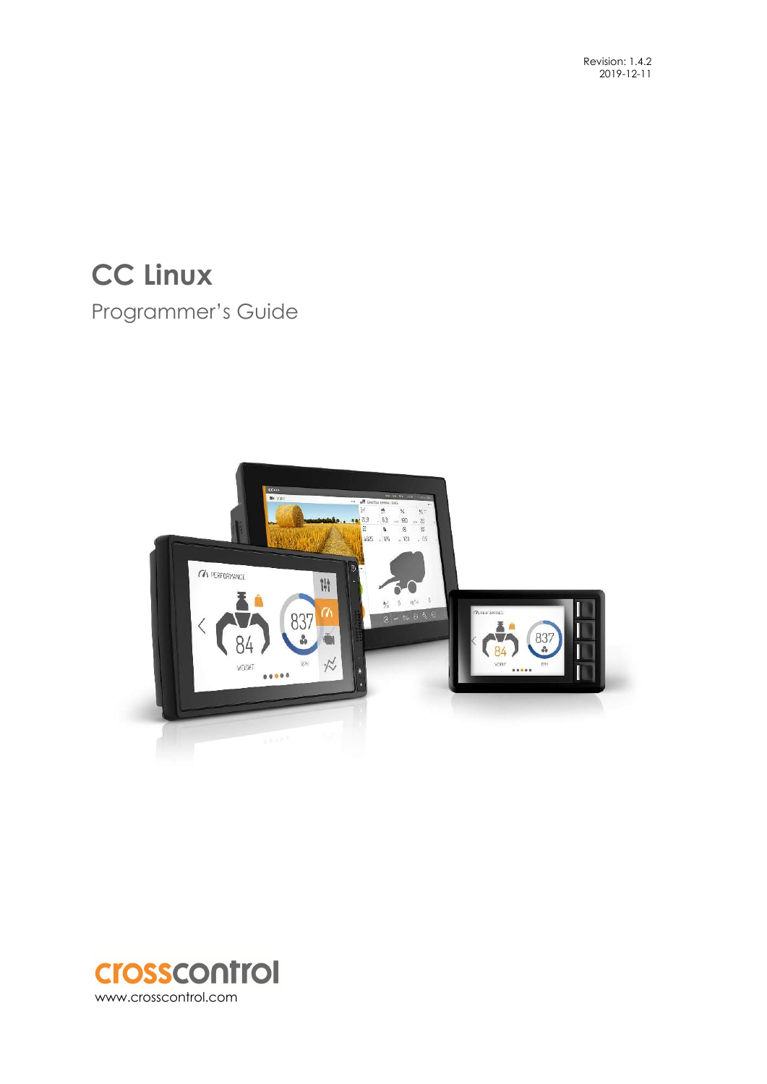# **CC Linux**  Programmer's Guide



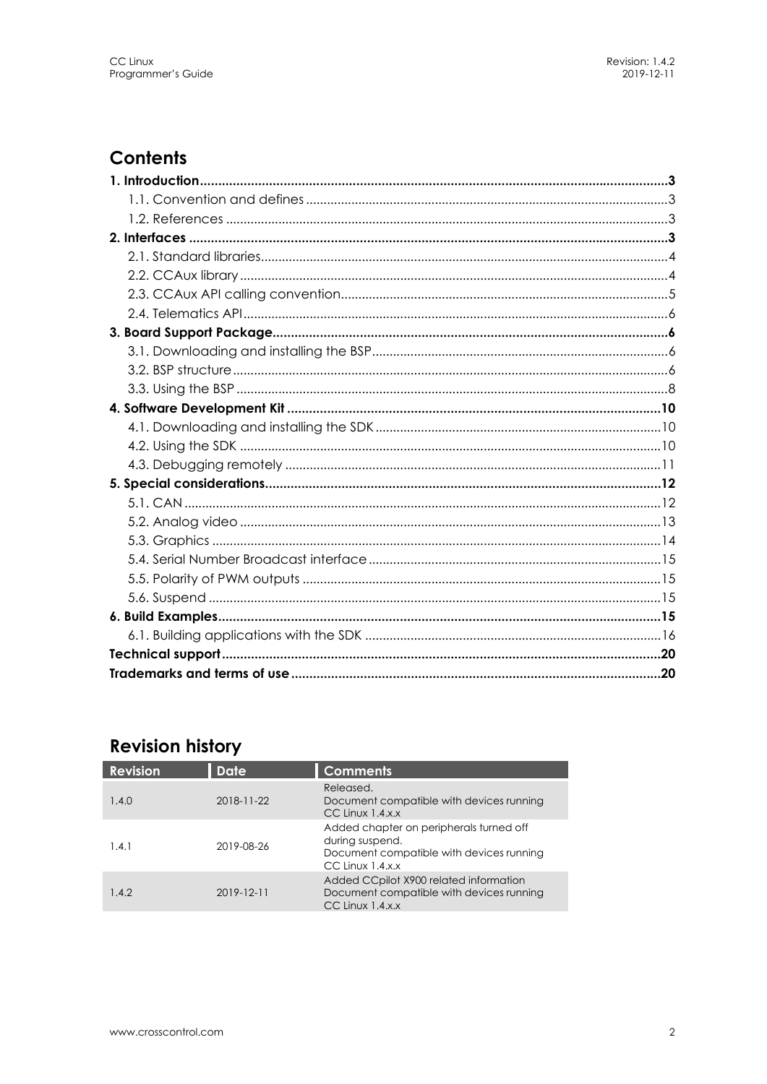## **Contents**

## **Revision history**

| <b>Revision</b> | <b>Date</b>      | <b>Comments</b>                                                                                                                |
|-----------------|------------------|--------------------------------------------------------------------------------------------------------------------------------|
| 1.4.0           | $2018 - 11 - 22$ | Released.<br>Document compatible with devices running<br>$CC$ Linux $1.4.x.x$                                                  |
| 1.4.1           | 2019-08-26       | Added chapter on peripherals turned off<br>during suspend.<br>Document compatible with devices running<br>$CC$ Linux $1.4.x.x$ |
| 1.4.2           | $2019 - 12 - 11$ | Added CCpilot X900 related information<br>Document compatible with devices running<br>$CC$ Linux $1.4.x.x$                     |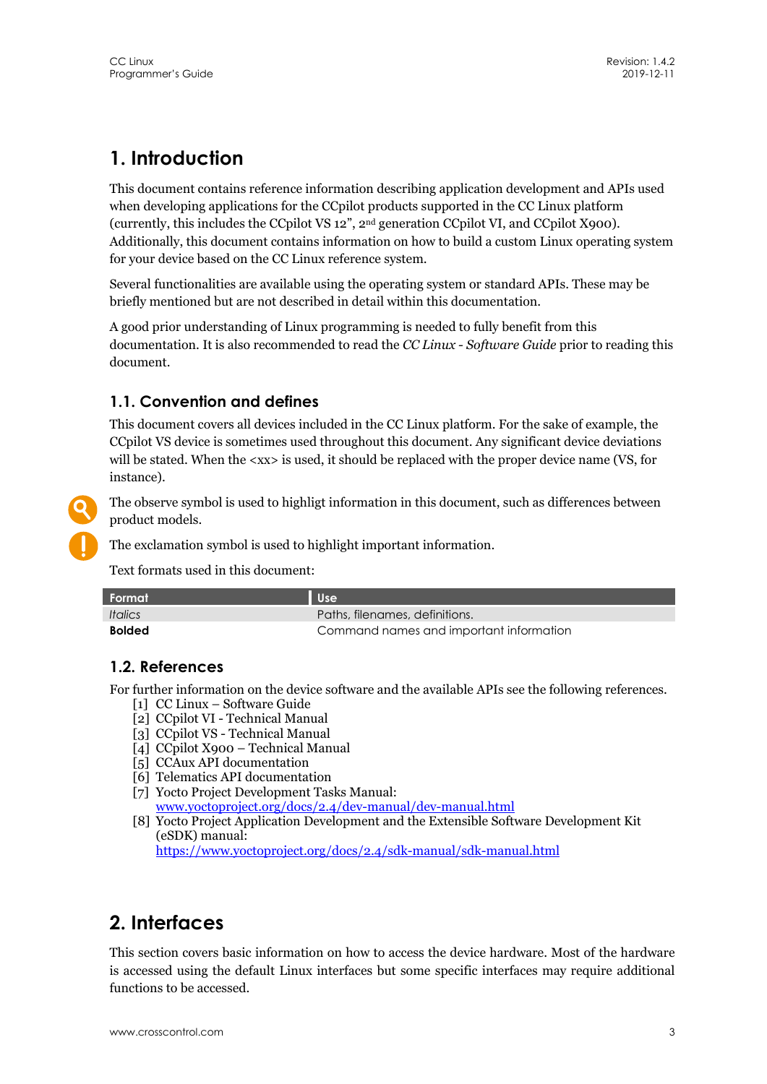## **1. Introduction**

This document contains reference information describing application development and APIs used when developing applications for the CCpilot products supported in the CC Linux platform (currently, this includes the CCpilot VS 12", 2nd generation CCpilot VI, and CCpilot X900). Additionally, this document contains information on how to build a custom Linux operating system for your device based on the CC Linux reference system.

Several functionalities are available using the operating system or standard APIs. These may be briefly mentioned but are not described in detail within this documentation.

A good prior understanding of Linux programming is needed to fully benefit from this documentation. It is also recommended to read the *CC Linux - Software Guide* prior to reading this document.

## **1.1. Convention and defines**

This document covers all devices included in the CC Linux platform. For the sake of example, the CCpilot VS device is sometimes used throughout this document. Any significant device deviations will be stated. When the <xx> is used, it should be replaced with the proper device name (VS, for instance).



The observe symbol is used to highligt information in this document, such as differences between product models.

The exclamation symbol is used to highlight important information.

Text formats used in this document:

| L Format \                   | Use <sup>1</sup>                        |
|------------------------------|-----------------------------------------|
| <i><u><b>Italics</b></u></i> | Paths, filenames, definitions.          |
| <b>Bolded</b>                | Command names and important information |

## **1.2. References**

For further information on the device software and the available APIs see the following references.

- [1] CC Linux Software Guide
- [2] CCpilot VI Technical Manual
- [3] CCpilot VS Technical Manual
- [4] CCpilot X900 Technical Manual
- [5] CCAux API documentation
- [6] Telematics API documentation
- [7] Yocto Project Development Tasks Manual: www.yoctoproject.org/docs/2.4/dev-manual/dev-manual.html
- [8] Yocto Project Application Development and the Extensible Software Development Kit (eSDK) manual:

https://www.yoctoproject.org/docs/2.4/sdk-manual/sdk-manual.html

## **2. Interfaces**

This section covers basic information on how to access the device hardware. Most of the hardware is accessed using the default Linux interfaces but some specific interfaces may require additional functions to be accessed.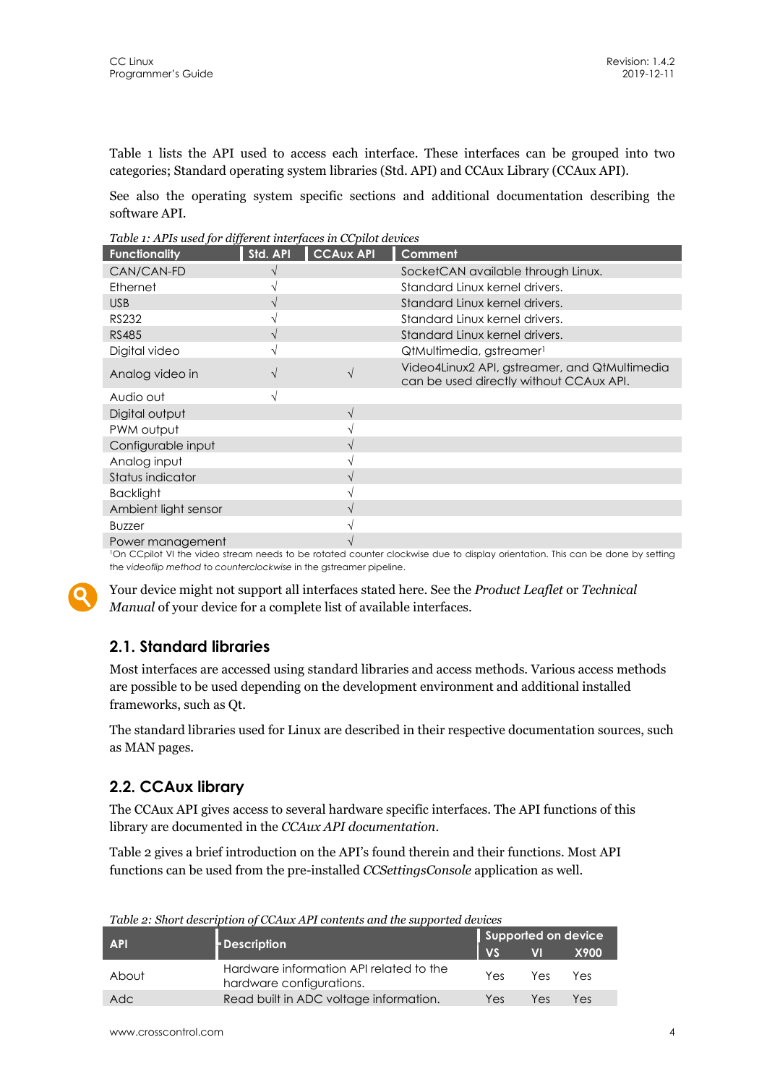Table 1 lists the API used to access each interface. These interfaces can be grouped into two categories; Standard operating system libraries (Std. API) and CCAux Library (CCAux API).

See also the operating system specific sections and additional documentation describing the software API.

*Table 1: APIs used for different interfaces in CCpilot devices* 

| <b>Functionality</b> | Std. API | <b>CCAUX API</b> | Comment                                                                                  |
|----------------------|----------|------------------|------------------------------------------------------------------------------------------|
| CAN/CAN-FD           |          |                  | SocketCAN available through Linux.                                                       |
| Ethernet             |          |                  | Standard Linux kernel drivers.                                                           |
| <b>USB</b>           | V        |                  | Standard Linux kernel drivers.                                                           |
| <b>RS232</b>         |          |                  | Standard Linux kernel drivers.                                                           |
| <b>RS485</b>         | V        |                  | Standard Linux kernel drivers.                                                           |
| Digital video        |          |                  | QtMultimedia, gstreamer <sup>1</sup>                                                     |
| Analog video in      |          |                  | Video4Linux2 API, gstreamer, and QtMultimedia<br>can be used directly without CCAux API. |
| Audio out            |          |                  |                                                                                          |
| Digital output       |          | V                |                                                                                          |
| PWM output           |          |                  |                                                                                          |
| Configurable input   |          |                  |                                                                                          |
| Analog input         |          |                  |                                                                                          |
| Status indicator     |          |                  |                                                                                          |
| <b>Backlight</b>     |          |                  |                                                                                          |
| Ambient light sensor |          |                  |                                                                                          |
| <b>Buzzer</b>        |          |                  |                                                                                          |
| Power management     |          |                  |                                                                                          |

1On CCpilot VI the video stream needs to be rotated counter clockwise due to display orientation. This can be done by setting the *videoflip method* to *counterclockwise* in the gstreamer pipeline.



Your device might not support all interfaces stated here. See the *Product Leaflet* or *Technical Manual* of your device for a complete list of available interfaces.

## **2.1. Standard libraries**

Most interfaces are accessed using standard libraries and access methods. Various access methods are possible to be used depending on the development environment and additional installed frameworks, such as Qt.

The standard libraries used for Linux are described in their respective documentation sources, such as MAN pages.

## **2.2. CCAux library**

The CCAux API gives access to several hardware specific interfaces. The API functions of this library are documented in the *CCAux API documentation*.

Table 2 gives a brief introduction on the API's found therein and their functions. Most API functions can be used from the pre-installed *CCSettingsConsole* application as well.

| <b>API</b> |                                                                     |           | Supported on device      |             |  |  |
|------------|---------------------------------------------------------------------|-----------|--------------------------|-------------|--|--|
|            | <b>Description</b>                                                  | <b>VS</b> | $\overline{\mathsf{VI}}$ | <b>X900</b> |  |  |
| About      | Hardware information API related to the<br>hardware configurations. | Yes       | Yes.                     | Yes         |  |  |
| Adc        | Read built in ADC voltage information.                              | Yes       | Yes                      | Yes         |  |  |

*Table 2: Short description of CCAux API contents and the supported devices*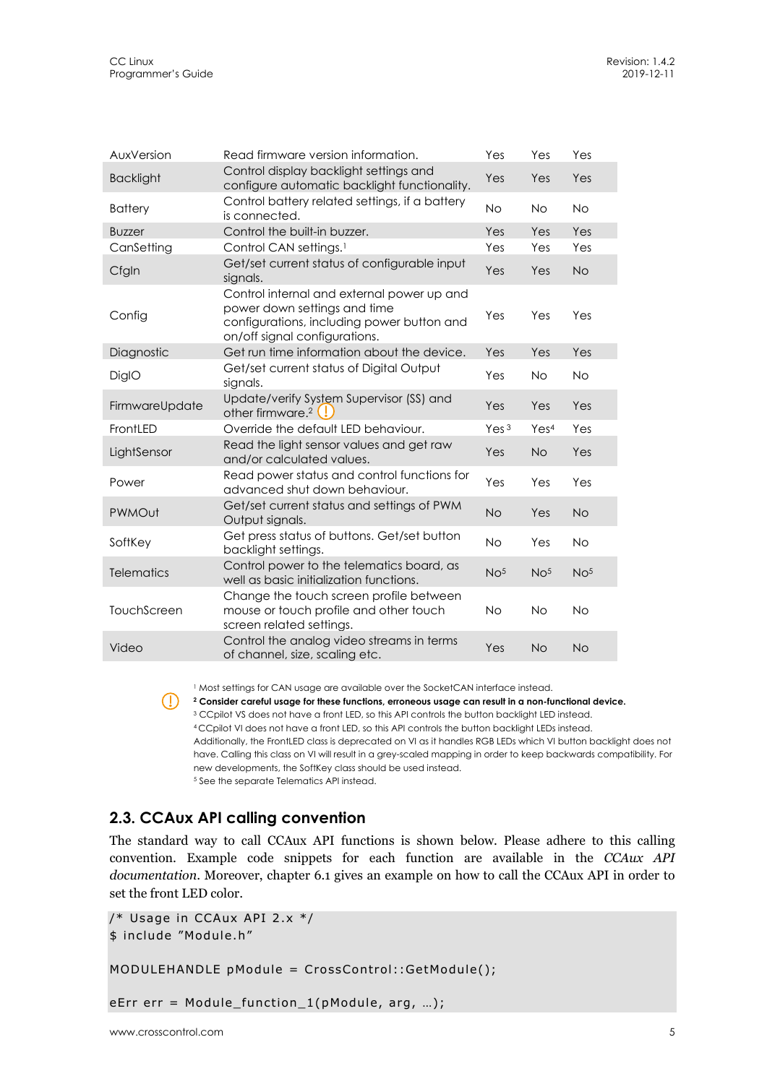| AuxVersion        | Read firmware version information.                                                                                                                        | Yes              | Yes              | Yes             |
|-------------------|-----------------------------------------------------------------------------------------------------------------------------------------------------------|------------------|------------------|-----------------|
| <b>Backlight</b>  | Control display backlight settings and<br>configure automatic backlight functionality.                                                                    | Yes              | Yes              | Yes             |
| <b>Battery</b>    | Control battery related settings, if a battery<br>is connected.                                                                                           | <b>No</b>        | <b>No</b>        | <b>No</b>       |
| <b>Buzzer</b>     | Control the built-in buzzer.                                                                                                                              | Yes              | Yes              | Yes             |
| CanSetting        | Control CAN settings. <sup>1</sup>                                                                                                                        | Yes              | Yes              | Yes             |
| Cfgln             | Get/set current status of configurable input<br>signals.                                                                                                  | Yes              | Yes              | <b>No</b>       |
| Config            | Control internal and external power up and<br>power down settings and time<br>configurations, including power button and<br>on/off signal configurations. | Yes              | Yes              | Yes             |
| Diagnostic        | Get run time information about the device.                                                                                                                | Yes              | Yes              | Yes             |
| DiglO             | Get/set current status of Digital Output<br>signals.                                                                                                      | Yes              | <b>No</b>        | <b>No</b>       |
| FirmwareUpdate    | Update/verify System Supervisor (SS) and<br>other firmware. <sup>2</sup>                                                                                  | Yes              | Yes              | Yes             |
| FrontLED          | Override the default LED behaviour.                                                                                                                       | Yes <sup>3</sup> | Yes <sup>4</sup> | Yes             |
| LightSensor       | Read the light sensor values and get raw<br>and/or calculated values.                                                                                     | Yes              | <b>No</b>        | Yes             |
| Power             | Read power status and control functions for<br>advanced shut down behaviour.                                                                              | Yes              | Yes              | Yes             |
| PWMOut            | Get/set current status and settings of PWM<br>Output signals.                                                                                             | <b>No</b>        | Yes              | <b>No</b>       |
| SoftKey           | Get press status of buttons. Get/set button<br>backlight settings.                                                                                        | <b>No</b>        | Yes              | <b>No</b>       |
| <b>Telematics</b> | Control power to the telematics board, as<br>well as basic initialization functions.                                                                      | No <sup>5</sup>  | No <sup>5</sup>  | No <sup>5</sup> |
| TouchScreen       | Change the touch screen profile between<br>mouse or touch profile and other touch<br>screen related settings.                                             | <b>No</b>        | <b>No</b>        | <b>No</b>       |
| Video             | Control the analog video streams in terms<br>of channel, size, scaling etc.                                                                               | Yes              | <b>No</b>        | <b>No</b>       |

<sup>1</sup> Most settings for CAN usage are available over the SocketCAN interface instead.

**2 Consider careful usage for these functions, erroneous usage can result in a non-functional device.**  <sup>3</sup> CCpilot VS does not have a front LED, so this API controls the button backlight LED instead. 4 CCpilot VI does not have a front LED, so this API controls the button backlight LEDs instead.

Additionally, the FrontLED class is deprecated on VI as it handles RGB LEDs which VI button backlight does not have. Calling this class on VI will result in a grey-scaled mapping in order to keep backwards compatibility. For new developments, the SoftKey class should be used instead. 5 See the separate Telematics API instead.

### **2.3. CCAux API calling convention**

The standard way to call CCAux API functions is shown below. Please adhere to this calling convention. Example code snippets for each function are available in the *CCAux API documentation*. Moreover, chapter 6.1 gives an example on how to call the CCAux API in order to set the front LED color.

```
/* Usage in CCAux API 2.x */ 
$ include "Module.h" 
MODULEHANDLE pModule = CrossControl::GetModule();
```
eErr err = Module\_function\_1(pModule, arg, …);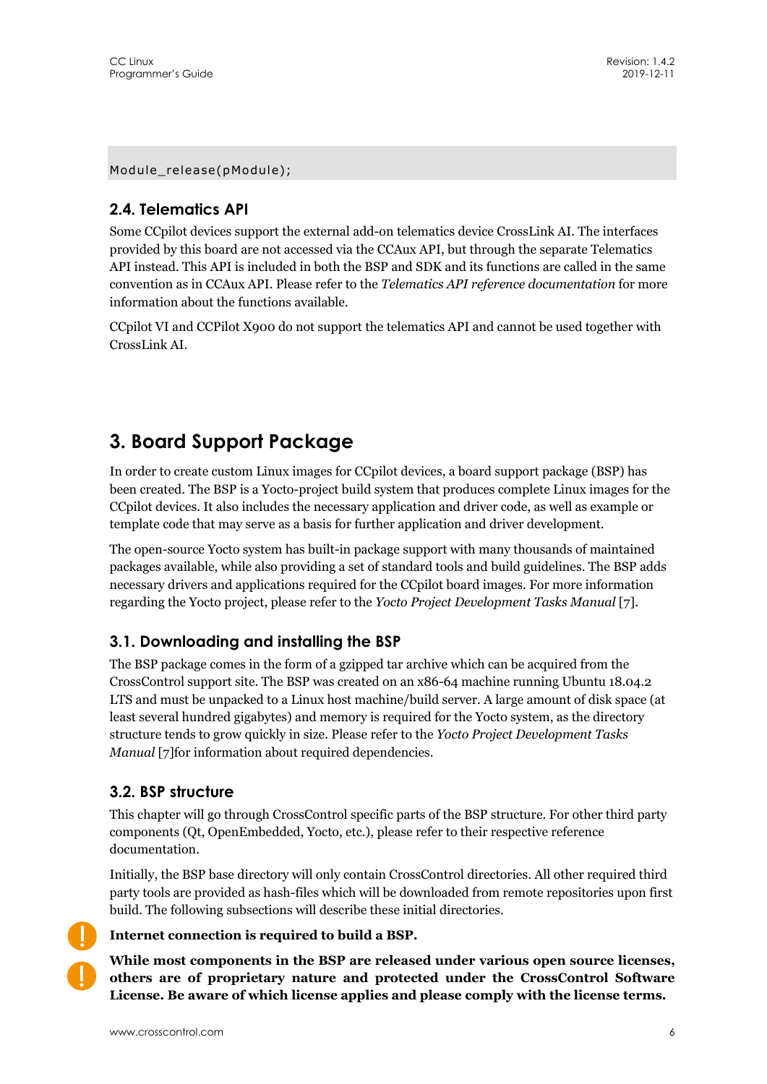Module\_release(pModule);

## **2.4. Telematics API**

Some CCpilot devices support the external add-on telematics device CrossLink AI. The interfaces provided by this board are not accessed via the CCAux API, but through the separate Telematics API instead. This API is included in both the BSP and SDK and its functions are called in the same convention as in CCAux API. Please refer to the *Telematics API reference documentation* for more information about the functions available.

CCpilot VI and CCPilot X900 do not support the telematics API and cannot be used together with CrossLink AI.

## **3. Board Support Package**

In order to create custom Linux images for CCpilot devices, a board support package (BSP) has been created. The BSP is a Yocto-project build system that produces complete Linux images for the CCpilot devices. It also includes the necessary application and driver code, as well as example or template code that may serve as a basis for further application and driver development.

The open-source Yocto system has built-in package support with many thousands of maintained packages available, while also providing a set of standard tools and build guidelines. The BSP adds necessary drivers and applications required for the CCpilot board images. For more information regarding the Yocto project, please refer to the *Yocto Project Development Tasks Manual* [7].

### **3.1. Downloading and installing the BSP**

The BSP package comes in the form of a gzipped tar archive which can be acquired from the CrossControl support site. The BSP was created on an x86-64 machine running Ubuntu 18.04.2 LTS and must be unpacked to a Linux host machine/build server. A large amount of disk space (at least several hundred gigabytes) and memory is required for the Yocto system, as the directory structure tends to grow quickly in size. Please refer to the *Yocto Project Development Tasks Manual* [7]for information about required dependencies.

### **3.2. BSP structure**

This chapter will go through CrossControl specific parts of the BSP structure. For other third party components (Qt, OpenEmbedded, Yocto, etc.), please refer to their respective reference documentation.

Initially, the BSP base directory will only contain CrossControl directories. All other required third party tools are provided as hash-files which will be downloaded from remote repositories upon first build. The following subsections will describe these initial directories.

**Internet connection is required to build a BSP.** 

**While most components in the BSP are released under various open source licenses, others are of proprietary nature and protected under the CrossControl Software License. Be aware of which license applies and please comply with the license terms.**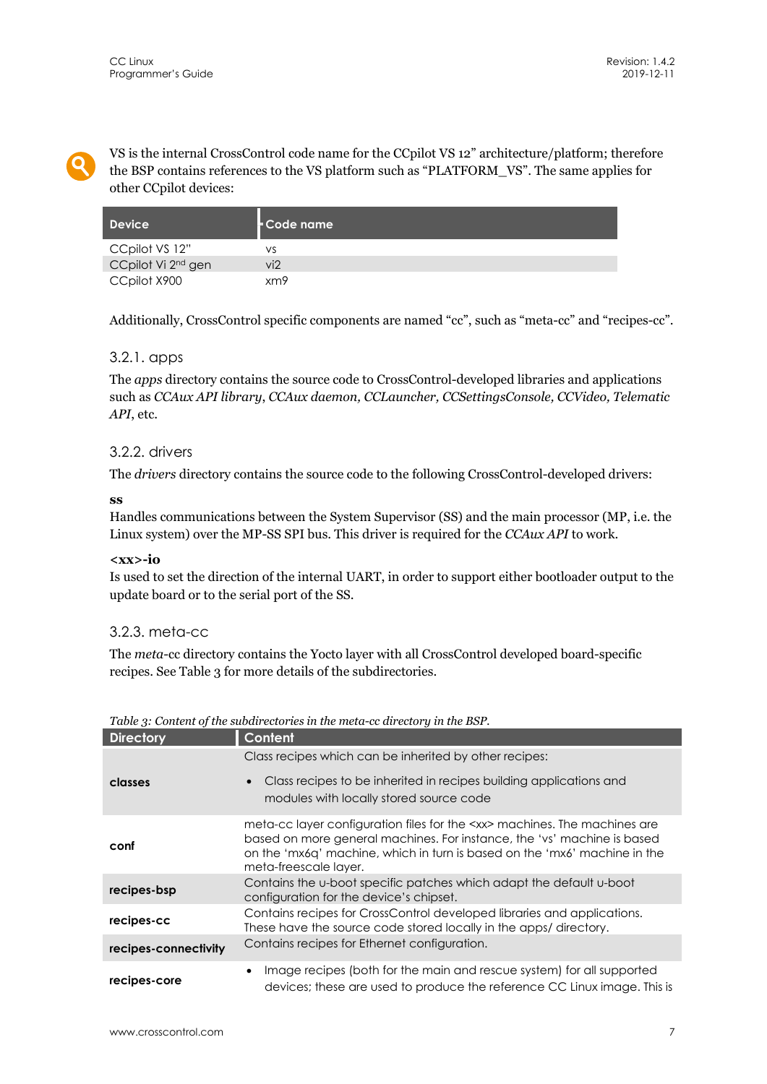VS is the internal CrossControl code name for the CCpilot VS 12" architecture/platform; therefore the BSP contains references to the VS platform such as "PLATFORM\_VS". The same applies for other CCpilot devices:

| Device                         | Code name |
|--------------------------------|-----------|
| CCpilot VS 12"                 | VS        |
| CCpilot Vi 2 <sup>nd</sup> gen | vi2       |
| CCpilot X900                   | xm9       |

Additionally, CrossControl specific components are named "cc", such as "meta-cc" and "recipes-cc".

#### 3.2.1. apps

The *apps* directory contains the source code to CrossControl-developed libraries and applications such as *CCAux API library*, *CCAux daemon, CCLauncher, CCSettingsConsole, CCVideo, Telematic API*, etc.

#### 3.2.2. drivers

The *drivers* directory contains the source code to the following CrossControl-developed drivers:

#### **ss**

Handles communications between the System Supervisor (SS) and the main processor (MP, i.e. the Linux system) over the MP-SS SPI bus. This driver is required for the *CCAux API* to work.

#### **<xx>-io**

Is used to set the direction of the internal UART, in order to support either bootloader output to the update board or to the serial port of the SS.

#### 3.2.3. meta-cc

The *meta-*cc directory contains the Yocto layer with all CrossControl developed board-specific recipes. See Table 3 for more details of the subdirectories.

| <b>Directory</b>     | Content                                                                                                                                                                                                                                                            |
|----------------------|--------------------------------------------------------------------------------------------------------------------------------------------------------------------------------------------------------------------------------------------------------------------|
|                      | Class recipes which can be inherited by other recipes:                                                                                                                                                                                                             |
| classes              | Class recipes to be inherited in recipes building applications and<br>$\bullet$<br>modules with locally stored source code                                                                                                                                         |
| conf                 | meta-cc layer configuration files for the <xx> machines. The machines are<br/>based on more general machines. For instance, the 'vs' machine is based<br/>on the 'mx6q' machine, which in turn is based on the 'mx6' machine in the<br/>meta-freescale layer.</xx> |
| recipes-bsp          | Contains the u-boot specific patches which adapt the default u-boot<br>configuration for the device's chipset.                                                                                                                                                     |
| recipes-cc           | Contains recipes for CrossControl developed libraries and applications.<br>These have the source code stored locally in the apps/ directory.                                                                                                                       |
| recipes-connectivity | Contains recipes for Ethernet configuration.                                                                                                                                                                                                                       |
| recipes-core         | Image recipes (both for the main and rescue system) for all supported<br>devices; these are used to produce the reference CC Linux image. This is                                                                                                                  |

|  | Table 3: Content of the subdirectories in the meta-cc directory in the BSP. |
|--|-----------------------------------------------------------------------------|
|  |                                                                             |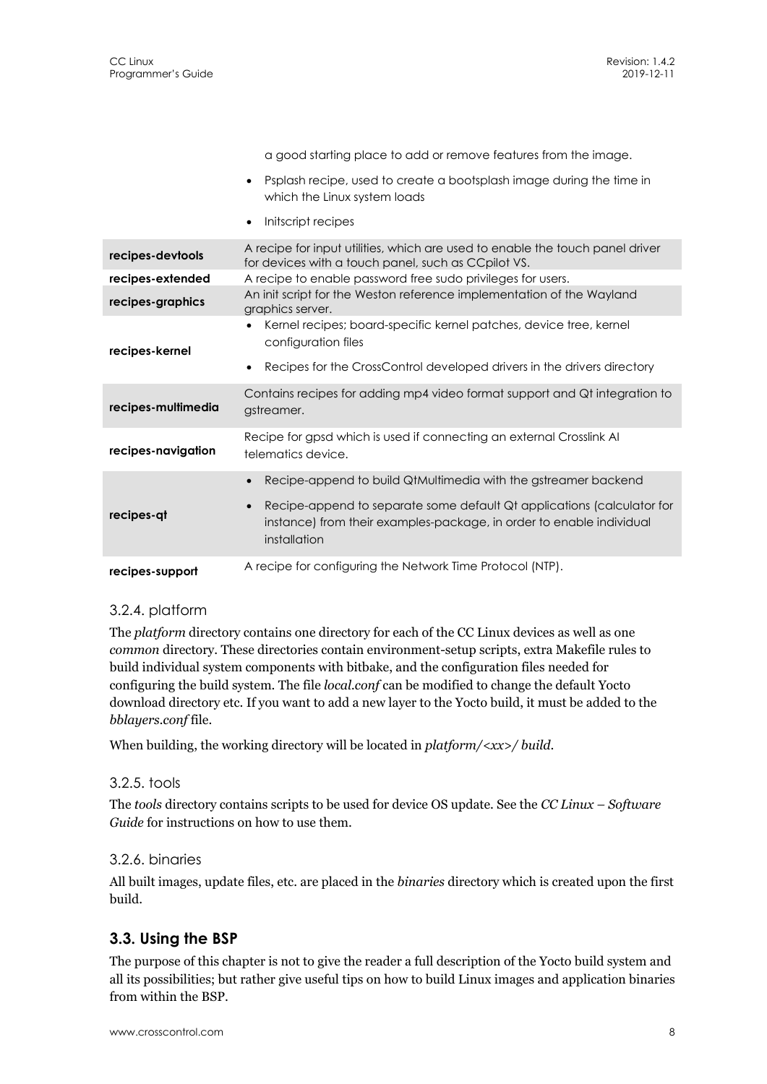|                    | a good starting place to add or remove features from the image.                                                                                                |
|--------------------|----------------------------------------------------------------------------------------------------------------------------------------------------------------|
|                    | Psplash recipe, used to create a bootsplash image during the time in<br>which the Linux system loads                                                           |
|                    | Initscript recipes                                                                                                                                             |
| recipes-devtools   | A recipe for input utilities, which are used to enable the touch panel driver<br>for devices with a touch panel, such as CCpilot VS.                           |
| recipes-extended   | A recipe to enable password free sudo privileges for users.                                                                                                    |
| recipes-graphics   | An init script for the Weston reference implementation of the Wayland<br>graphics server.                                                                      |
| recipes-kernel     | Kernel recipes; board-specific kernel patches, device tree, kernel<br>configuration files                                                                      |
|                    | Recipes for the CrossControl developed drivers in the drivers directory                                                                                        |
| recipes-multimedia | Contains recipes for adding mp4 video format support and Qt integration to<br>gstreamer.                                                                       |
| recipes-navigation | Recipe for gpsd which is used if connecting an external Crosslink AI<br>telematics device.                                                                     |
|                    | Recipe-append to build QtMultimedia with the gstreamer backend                                                                                                 |
| recipes-qt         | Recipe-append to separate some default Qt applications (calculator for<br>instance) from their examples-package, in order to enable individual<br>installation |
| recipes-support    | A recipe for configuring the Network Time Protocol (NTP).                                                                                                      |

#### 3.2.4. platform

The *platform* directory contains one directory for each of the CC Linux devices as well as one *common* directory. These directories contain environment-setup scripts, extra Makefile rules to build individual system components with bitbake, and the configuration files needed for configuring the build system. The file *local.conf* can be modified to change the default Yocto download directory etc. If you want to add a new layer to the Yocto build, it must be added to the *bblayers.conf* file.

When building, the working directory will be located in *platform/<xx>/ build.* 

#### 3.2.5. tools

The *tools* directory contains scripts to be used for device OS update. See the *CC Linux – Software Guide* for instructions on how to use them.

#### 3.2.6. binaries

All built images, update files, etc. are placed in the *binaries* directory which is created upon the first build.

## **3.3. Using the BSP**

The purpose of this chapter is not to give the reader a full description of the Yocto build system and all its possibilities; but rather give useful tips on how to build Linux images and application binaries from within the BSP.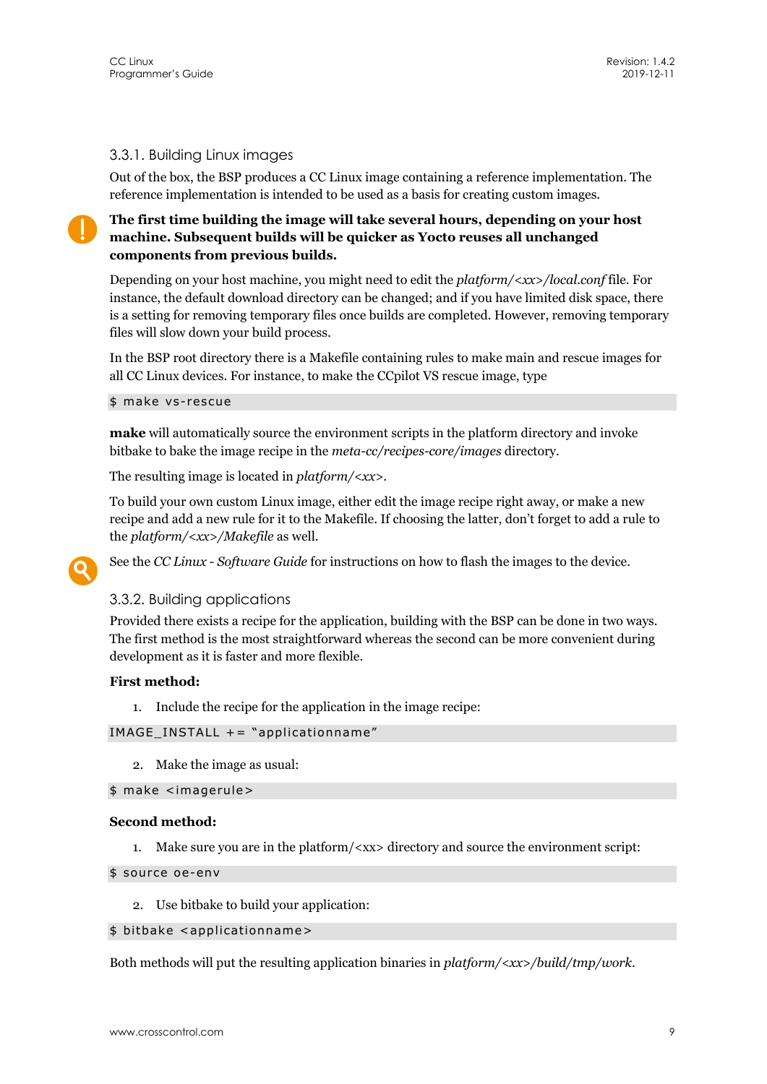#### 3.3.1. Building Linux images

Out of the box, the BSP produces a CC Linux image containing a reference implementation. The reference implementation is intended to be used as a basis for creating custom images.

**The first time building the image will take several hours, depending on your host machine. Subsequent builds will be quicker as Yocto reuses all unchanged components from previous builds.** 

Depending on your host machine, you might need to edit the *platform/<xx>/local.conf* file. For instance, the default download directory can be changed; and if you have limited disk space, there is a setting for removing temporary files once builds are completed. However, removing temporary files will slow down your build process.

In the BSP root directory there is a Makefile containing rules to make main and rescue images for all CC Linux devices. For instance, to make the CCpilot VS rescue image, type

\$ make vs-rescue

**make** will automatically source the environment scripts in the platform directory and invoke bitbake to bake the image recipe in the *meta-cc/recipes-core/images* directory.

The resulting image is located in *platform/<xx>*.

To build your own custom Linux image, either edit the image recipe right away, or make a new recipe and add a new rule for it to the Makefile. If choosing the latter, don't forget to add a rule to the *platform/<xx>/Makefile* as well.

See the *CC Linux - Software Guide* for instructions on how to flash the images to the device.

#### 3.3.2. Building applications

Provided there exists a recipe for the application, building with the BSP can be done in two ways. The first method is the most straightforward whereas the second can be more convenient during development as it is faster and more flexible.

#### **First method:**

1. Include the recipe for the application in the image recipe:

IMAGE\_INSTALL += "applicationname"

2. Make the image as usual:

#### \$ make <imagerule>

#### **Second method:**

1. Make sure you are in the platform/<xx> directory and source the environment script:

\$ source oe-env

2. Use bitbake to build your application:

#### \$ bitbake <applicationname>

Both methods will put the resulting application binaries in *platform/<xx>/build/tmp/work*.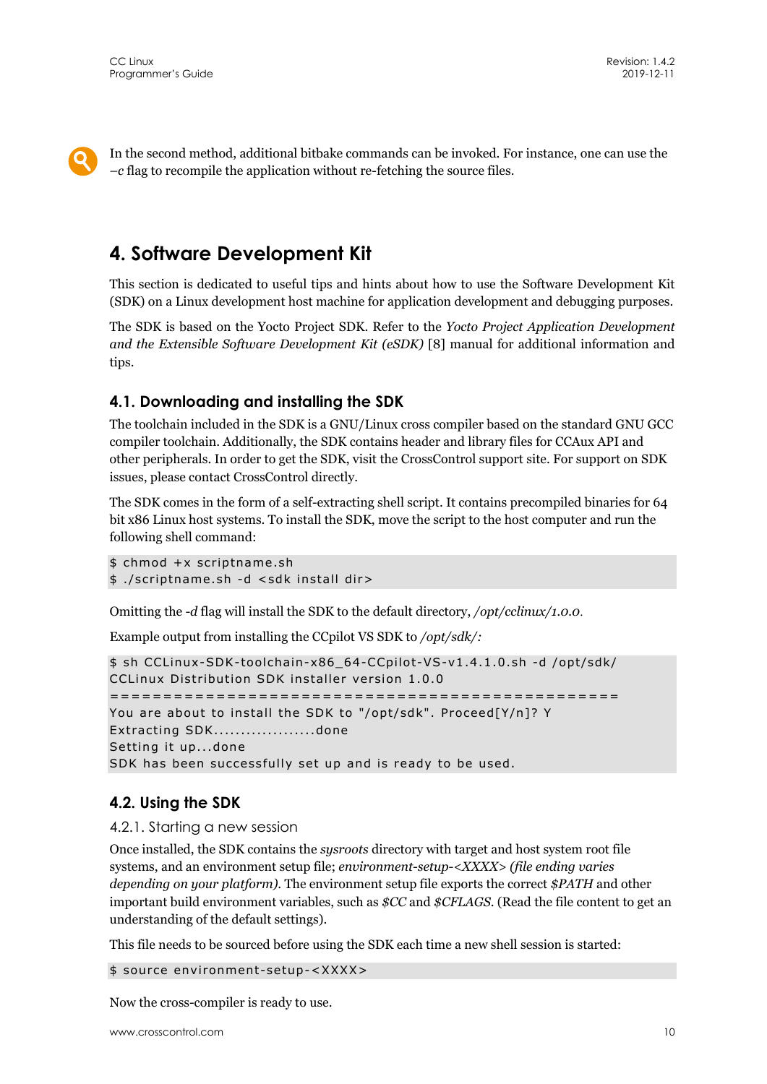In the second method, additional bitbake commands can be invoked. For instance, one can use the *–c* flag to recompile the application without re-fetching the source files.

## **4. Software Development Kit**

This section is dedicated to useful tips and hints about how to use the Software Development Kit (SDK) on a Linux development host machine for application development and debugging purposes.

The SDK is based on the Yocto Project SDK. Refer to the *Yocto Project Application Development and the Extensible Software Development Kit (eSDK)* [8] manual for additional information and tips.

### **4.1. Downloading and installing the SDK**

The toolchain included in the SDK is a GNU/Linux cross compiler based on the standard GNU GCC compiler toolchain. Additionally, the SDK contains header and library files for CCAux API and other peripherals. In order to get the SDK, visit the CrossControl support site. For support on SDK issues, please contact CrossControl directly.

The SDK comes in the form of a self-extracting shell script. It contains precompiled binaries for 64 bit x86 Linux host systems. To install the SDK, move the script to the host computer and run the following shell command:

```
$ chmod +x scriptname.sh 
$ ./scriptname.sh -d <sdk install dir>
```
Omitting the *-d* flag will install the SDK to the default directory, */opt/cclinux/1.0.0*.

Example output from installing the CCpilot VS SDK to */opt/sdk/:*

```
$ sh CCLinux-SDK-toolchain-x86_64-CCpilot-VS-v1.4.1.0.sh -d /opt/sdk/ 
CCLinux Distribution SDK installer version 1.0.0 
================================================ 
You are about to install the SDK to "/opt/sdk". Proceed[Y/n]? Y 
Extracting SDK...................done 
Setting it up...done 
SDK has been successfully set up and is ready to be used.
```
### **4.2. Using the SDK**

4.2.1. Starting a new session

Once installed, the SDK contains the *sysroots* directory with target and host system root file systems, and an environment setup file; *environment-setup-<XXXX> (file ending varies depending on your platform)*. The environment setup file exports the correct *\$PATH* and other important build environment variables, such as *\$CC* and *\$CFLAGS*. (Read the file content to get an understanding of the default settings).

This file needs to be sourced before using the SDK each time a new shell session is started:

\$ source environment-setup-<XXXX>

Now the cross-compiler is ready to use.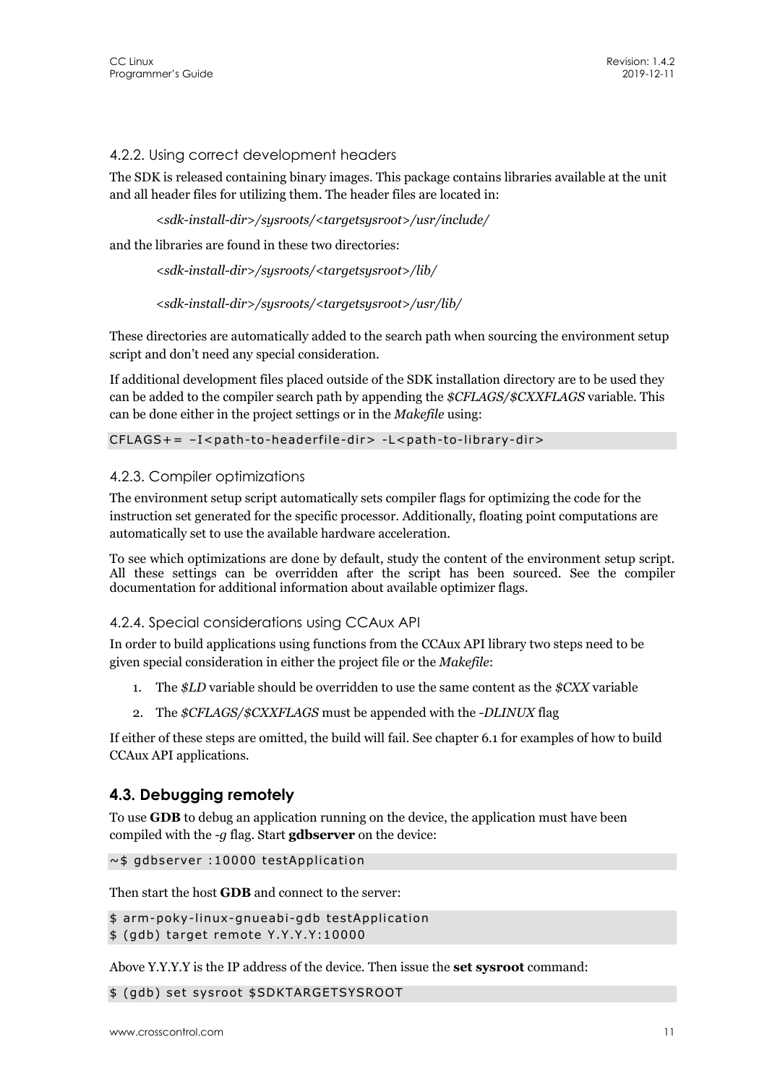#### 4.2.2. Using correct development headers

The SDK is released containing binary images. This package contains libraries available at the unit and all header files for utilizing them. The header files are located in:

```
<sdk-install-dir>/sysroots/<targetsysroot>/usr/include/
```
and the libraries are found in these two directories:

```
<sdk-install-dir>/sysroots/<targetsysroot>/lib/
```

```
<sdk-install-dir>/sysroots/<targetsysroot>/usr/lib/
```
These directories are automatically added to the search path when sourcing the environment setup script and don't need any special consideration.

If additional development files placed outside of the SDK installation directory are to be used they can be added to the compiler search path by appending the *\$CFLAGS/\$CXXFLAGS* variable. This can be done either in the project settings or in the *Makefile* using:

#### CFLAGS+= –I<path-to-headerfile-dir> -L<path-to-library-dir>

#### 4.2.3. Compiler optimizations

The environment setup script automatically sets compiler flags for optimizing the code for the instruction set generated for the specific processor. Additionally, floating point computations are automatically set to use the available hardware acceleration.

To see which optimizations are done by default, study the content of the environment setup script. All these settings can be overridden after the script has been sourced. See the compiler documentation for additional information about available optimizer flags.

#### 4.2.4. Special considerations using CCAux API

In order to build applications using functions from the CCAux API library two steps need to be given special consideration in either the project file or the *Makefile*:

- 1. The *\$LD* variable should be overridden to use the same content as the *\$CXX* variable
- 2. The *\$CFLAGS/\$CXXFLAGS* must be appended with the *-DLINUX* flag

If either of these steps are omitted, the build will fail. See chapter 6.1 for examples of how to build CCAux API applications.

#### **4.3. Debugging remotely**

To use **GDB** to debug an application running on the device, the application must have been compiled with the *-g* flag. Start **gdbserver** on the device:

```
~$ gdbserver :10000 testApplication
```
Then start the host **GDB** and connect to the server:

```
$ arm-poky-linux-gnueabi-gdb testApplication
```

```
$ (gdb) target remote Y.Y.Y.Y:10000
```
Above Y.Y.Y.Y is the IP address of the device. Then issue the **set sysroot** command:

\$ (gdb) set sysroot \$SDKTARGETSYSROOT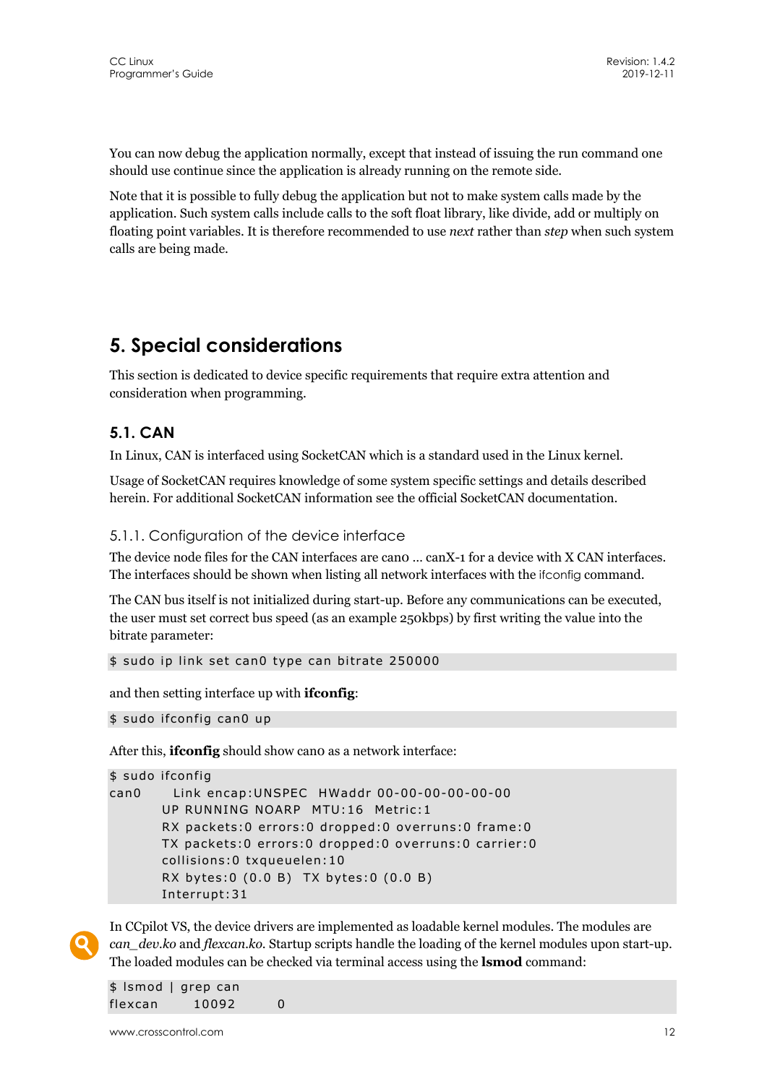You can now debug the application normally, except that instead of issuing the run command one should use continue since the application is already running on the remote side.

Note that it is possible to fully debug the application but not to make system calls made by the application. Such system calls include calls to the soft float library, like divide, add or multiply on floating point variables. It is therefore recommended to use *next* rather than *step* when such system calls are being made.

## **5. Special considerations**

This section is dedicated to device specific requirements that require extra attention and consideration when programming.

### **5.1. CAN**

In Linux, CAN is interfaced using SocketCAN which is a standard used in the Linux kernel.

Usage of SocketCAN requires knowledge of some system specific settings and details described herein. For additional SocketCAN information see the official SocketCAN documentation.

#### 5.1.1. Configuration of the device interface

The device node files for the CAN interfaces are can0 … canX-1 for a device with X CAN interfaces. The interfaces should be shown when listing all network interfaces with the ifconfig command.

The CAN bus itself is not initialized during start-up. Before any communications can be executed, the user must set correct bus speed (as an example 250kbps) by first writing the value into the bitrate parameter:

\$ sudo ip link set can0 type can bitrate 250000

and then setting interface up with **ifconfig**:

\$ sudo ifconfig can0 up

After this, **if config** should show cano as a network interface:

```
$ sudo ifconfig 
can0 Link encap:UNSPEC HWaddr 00-00-00-00-00-00 
        UP RUNNING NOARP MTU:16 Metric:1 
        RX packets:0 errors:0 dropped:0 overruns:0 frame:0 
        TX packets:0 errors:0 dropped:0 overruns:0 carrier:0 
        collisions:0 txqueuelen:10 
        RX bytes:0 (0.0 B) TX bytes:0 (0.0 B) 
        Interrupt:31
```


In CCpilot VS, the device drivers are implemented as loadable kernel modules. The modules are *can\_dev.ko* and *flexcan.ko*. Startup scripts handle the loading of the kernel modules upon start-up. The loaded modules can be checked via terminal access using the **lsmod** command:

\$ lsmod | grep can flexcan 10092 0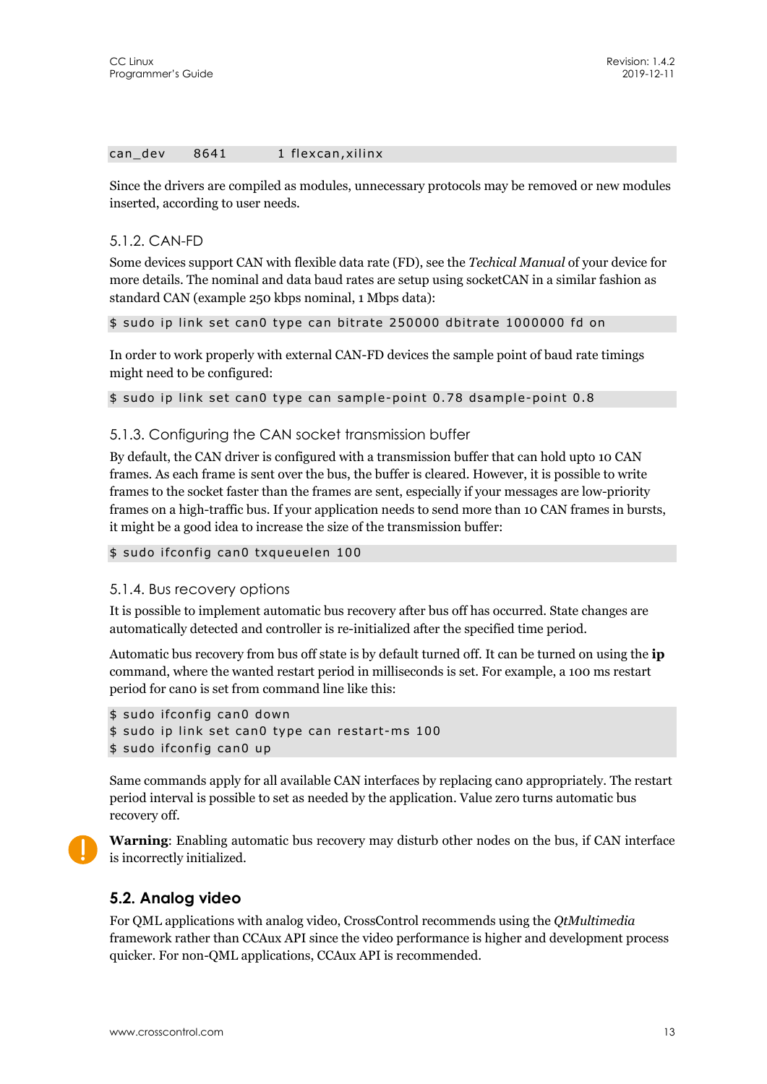#### can\_dev 8641 1 flexcan, xilinx

Since the drivers are compiled as modules, unnecessary protocols may be removed or new modules inserted, according to user needs.

#### 5.1.2. CAN-FD

Some devices support CAN with flexible data rate (FD), see the *Techical Manual* of your device for more details. The nominal and data baud rates are setup using socketCAN in a similar fashion as standard CAN (example 250 kbps nominal, 1 Mbps data):

\$ sudo ip link set can0 type can bitrate 250000 dbitrate 1000000 fd on

In order to work properly with external CAN-FD devices the sample point of baud rate timings might need to be configured:

\$ sudo ip link set can0 type can sample-point 0.78 dsample-point 0.8

#### 5.1.3. Configuring the CAN socket transmission buffer

By default, the CAN driver is configured with a transmission buffer that can hold upto 10 CAN frames. As each frame is sent over the bus, the buffer is cleared. However, it is possible to write frames to the socket faster than the frames are sent, especially if your messages are low-priority frames on a high-traffic bus. If your application needs to send more than 10 CAN frames in bursts, it might be a good idea to increase the size of the transmission buffer:

```
$ sudo ifconfig can0 txqueuelen 100
```
#### 5.1.4. Bus recovery options

It is possible to implement automatic bus recovery after bus off has occurred. State changes are automatically detected and controller is re-initialized after the specified time period.

Automatic bus recovery from bus off state is by default turned off. It can be turned on using the **ip** command, where the wanted restart period in milliseconds is set. For example, a 100 ms restart period for can0 is set from command line like this:

```
$ sudo ifconfig can0 down 
$ sudo ip link set can0 type can restart-ms 100 
$ sudo ifconfig can0 up
```
Same commands apply for all available CAN interfaces by replacing can0 appropriately. The restart period interval is possible to set as needed by the application. Value zero turns automatic bus recovery off.



**Warning**: Enabling automatic bus recovery may disturb other nodes on the bus, if CAN interface is incorrectly initialized.

#### **5.2. Analog video**

For QML applications with analog video, CrossControl recommends using the *QtMultimedia* framework rather than CCAux API since the video performance is higher and development process quicker. For non-QML applications, CCAux API is recommended.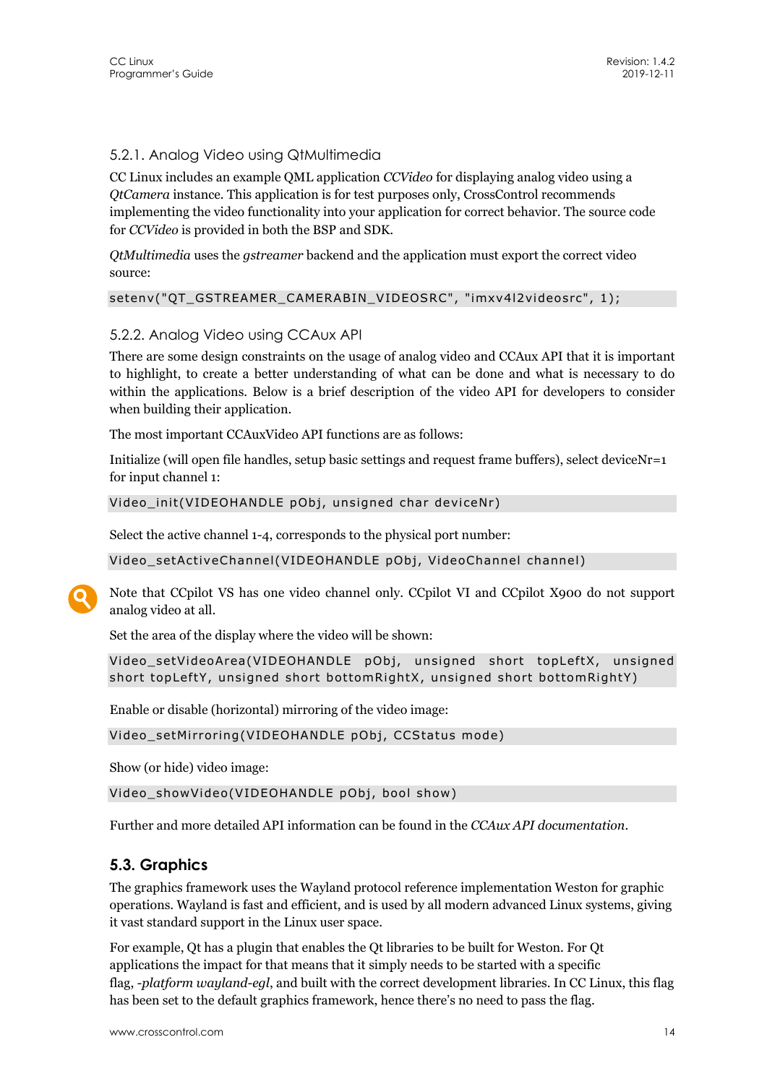### 5.2.1. Analog Video using QtMultimedia

CC Linux includes an example QML application *CCVideo* for displaying analog video using a *QtCamera* instance. This application is for test purposes only, CrossControl recommends implementing the video functionality into your application for correct behavior. The source code for *CCVideo* is provided in both the BSP and SDK.

*QtMultimedia* uses the *gstreamer* backend and the application must export the correct video source:

```
setenv("QT_GSTREAMER_CAMERABIN_VIDEOSRC", "imxv4l2videosrc", 1);
```
#### 5.2.2. Analog Video using CCAux API

There are some design constraints on the usage of analog video and CCAux API that it is important to highlight, to create a better understanding of what can be done and what is necessary to do within the applications. Below is a brief description of the video API for developers to consider when building their application.

The most important CCAuxVideo API functions are as follows:

Initialize (will open file handles, setup basic settings and request frame buffers), select deviceNr=1 for input channel 1:

```
Video init(VIDEOHANDLE pObj, unsigned char deviceNr)
```
Select the active channel 1-4, corresponds to the physical port number:

Video\_setActiveChannel(VIDEOHANDLE pObj, VideoChannel channel)

Note that CCpilot VS has one video channel only. CCpilot VI and CCpilot X900 do not support analog video at all.

Set the area of the display where the video will be shown:

```
Video setVideoArea(VIDEOHANDLE pObj, unsigned short topLeftX, unsigned
short topLeftY, unsigned short bottomRightX, unsigned short bottomRightY)
```
Enable or disable (horizontal) mirroring of the video image:

```
Video_setMirroring(VIDEOHANDLE pObj, CCStatus mode)
```
Show (or hide) video image:

Video\_showVideo(VIDEOHANDLE pObj, bool show)

Further and more detailed API information can be found in the *CCAux API documentation*.

### **5.3. Graphics**

The graphics framework uses the Wayland protocol reference implementation Weston for graphic operations. Wayland is fast and efficient, and is used by all modern advanced Linux systems, giving it vast standard support in the Linux user space.

For example, Qt has a plugin that enables the Qt libraries to be built for Weston. For Qt applications the impact for that means that it simply needs to be started with a specific flag, *-platform wayland-egl*, and built with the correct development libraries. In CC Linux, this flag has been set to the default graphics framework, hence there's no need to pass the flag.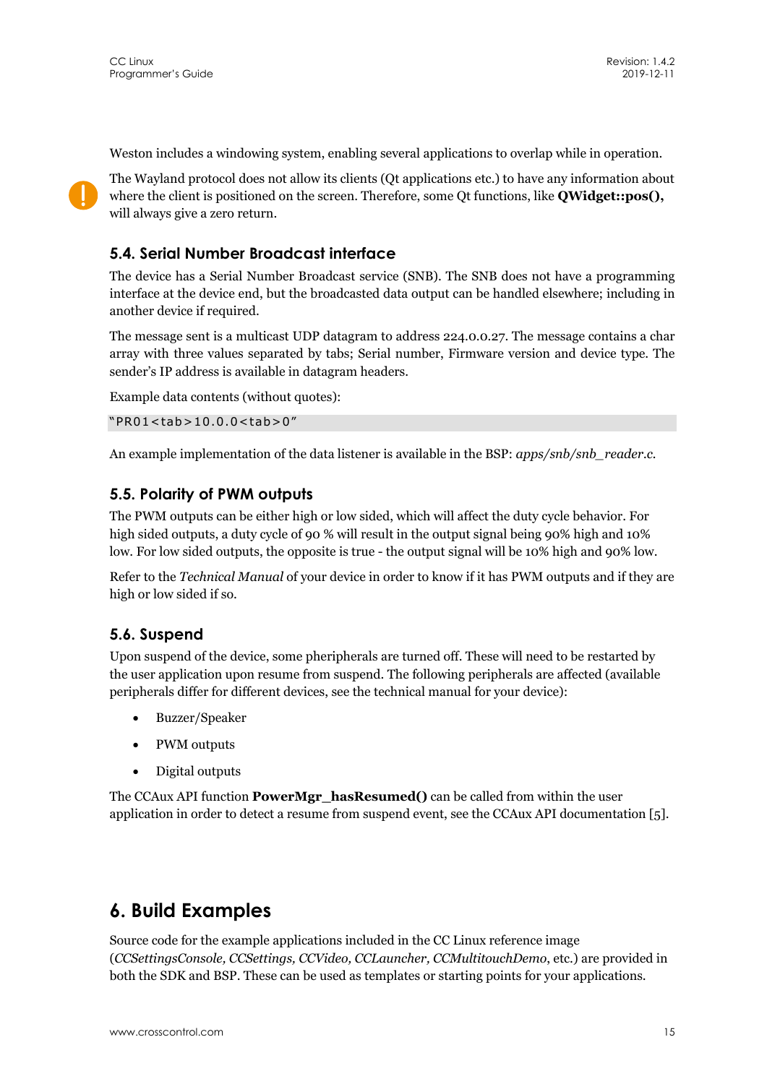Weston includes a windowing system, enabling several applications to overlap while in operation.



The Wayland protocol does not allow its clients (Qt applications etc.) to have any information about where the client is positioned on the screen. Therefore, some Qt functions, like **QWidget::pos(),** will always give a zero return.

## **5.4. Serial Number Broadcast interface**

The device has a Serial Number Broadcast service (SNB). The SNB does not have a programming interface at the device end, but the broadcasted data output can be handled elsewhere; including in another device if required.

The message sent is a multicast UDP datagram to address 224.0.0.27. The message contains a char array with three values separated by tabs; Serial number, Firmware version and device type. The sender's IP address is available in datagram headers.

Example data contents (without quotes):

"PR01<tab>10.0.0<tab>0"

An example implementation of the data listener is available in the BSP: *apps/snb/snb\_reader.c.* 

### **5.5. Polarity of PWM outputs**

The PWM outputs can be either high or low sided, which will affect the duty cycle behavior. For high sided outputs, a duty cycle of 90 % will result in the output signal being 90% high and 10% low. For low sided outputs, the opposite is true - the output signal will be 10% high and 90% low.

Refer to the *Technical Manual* of your device in order to know if it has PWM outputs and if they are high or low sided if so.

### **5.6. Suspend**

Upon suspend of the device, some pheripherals are turned off. These will need to be restarted by the user application upon resume from suspend. The following peripherals are affected (available peripherals differ for different devices, see the technical manual for your device):

- Buzzer/Speaker
- PWM outputs
- Digital outputs

The CCAux API function **PowerMgr\_hasResumed()** can be called from within the user application in order to detect a resume from suspend event, see the CCAux API documentation [5].

## **6. Build Examples**

Source code for the example applications included in the CC Linux reference image (*CCSettingsConsole, CCSettings, CCVideo, CCLauncher, CCMultitouchDemo*, etc.) are provided in both the SDK and BSP. These can be used as templates or starting points for your applications.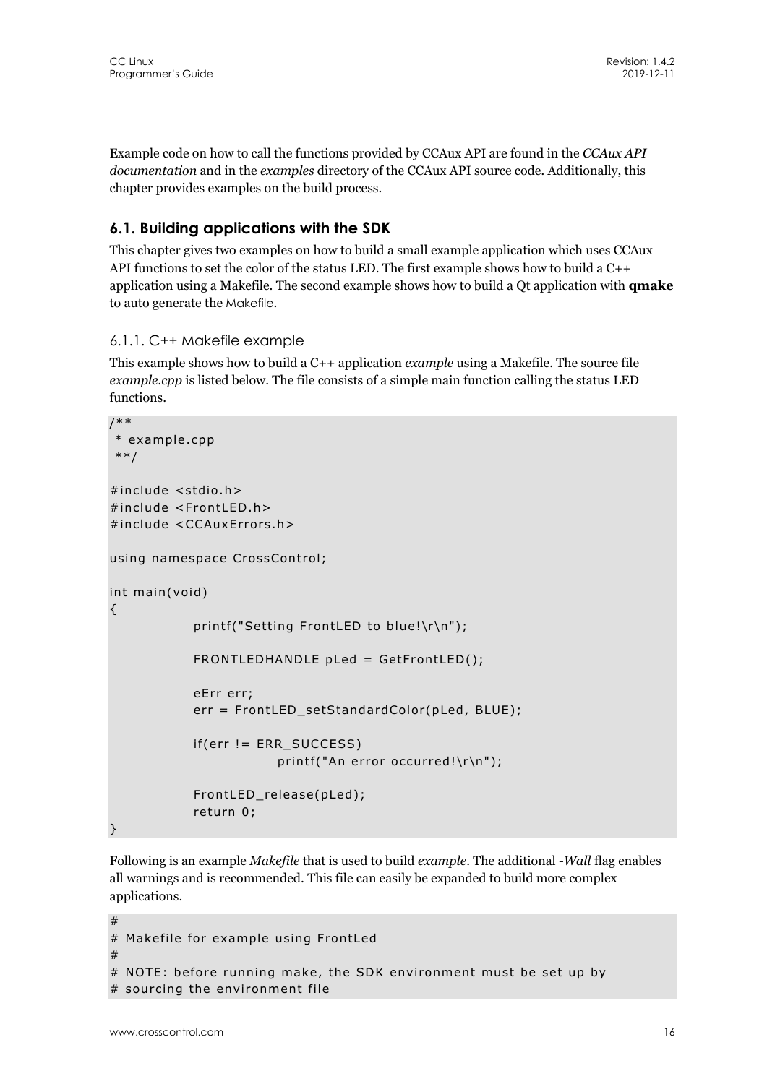Example code on how to call the functions provided by CCAux API are found in the *CCAux API documentation* and in the *examples* directory of the CCAux API source code*.* Additionally, this chapter provides examples on the build process.

## **6.1. Building applications with the SDK**

This chapter gives two examples on how to build a small example application which uses CCAux API functions to set the color of the status LED. The first example shows how to build a C++ application using a Makefile. The second example shows how to build a Qt application with **qmake** to auto generate the Makefile.

#### 6.1.1. C++ Makefile example

This example shows how to build a C++ application *example* using a Makefile. The source file *example.cpp* is listed below. The file consists of a simple main function calling the status LED functions.

```
/** 
 * example.cpp 
 **/ 
#include <stdio.h> 
#include <FrontLED.h> 
#include <CCAuxErrors.h> 
using namespace CrossControl; 
int main(void) 
{ 
             printf("Setting FrontLED to blue!\r\n"); 
             FRONTLEDHANDLE pLed = GetFrontLED(); 
             eErr err; 
             err = FrontLED_setStandardColor(pLed, BLUE); 
            if(err != ERR SUCCESS)
                         printf("An error occurred!\r\n\cdot);
             FrontLED_release(pLed); 
            return 0:
```

```
}
```
Following is an example *Makefile* that is used to build *example*. The additional *-Wall* flag enables all warnings and is recommended. This file can easily be expanded to build more complex applications.

```
# 
# Makefile for example using FrontLed 
## NOTE: before running make, the SDK environment must be set up by 
# sourcing the environment file
```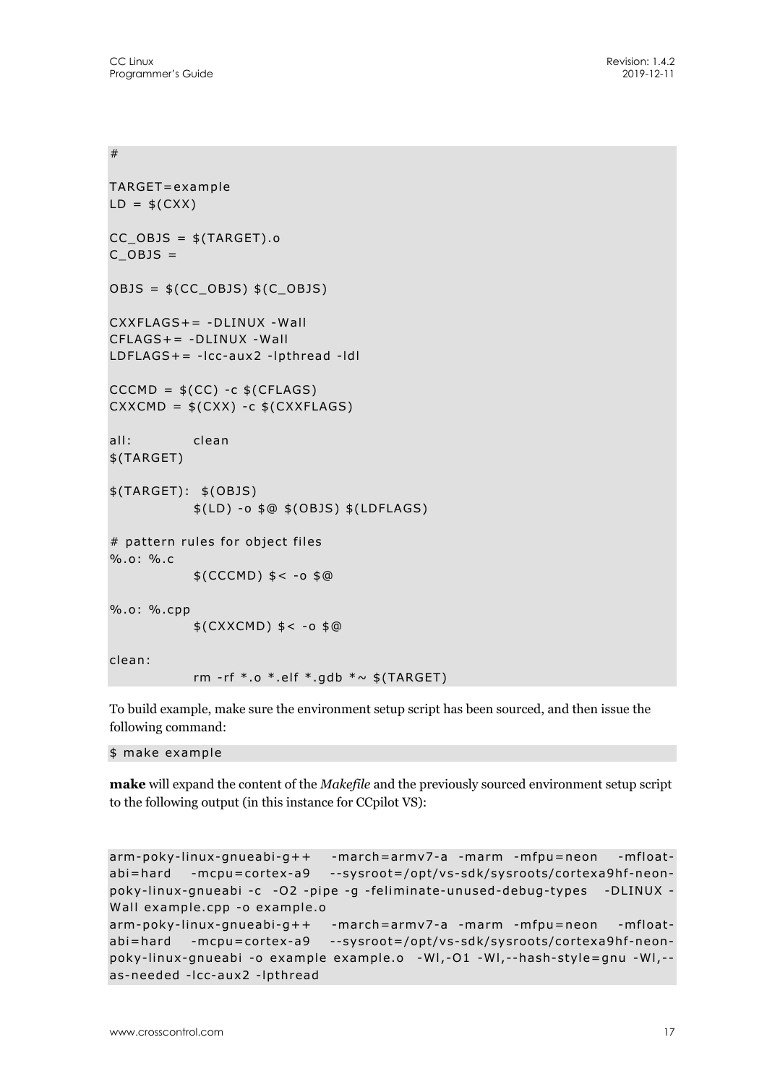#### #

```
TARGET=example 
LD = $(CXX)CC_OBJS = $(TARGE) . oC OBJS =
OBJS = $(CC OBJS) $(C OBJS)CXXFIAGS+= -DIINUX -WallCFLAGS+= -DLINUX -Wall 
LDFLAGS+= -lcc-aux2 -lpthread -ldl 
CCCMD = $(CC) -c $(CFLAGS)CXXCMD = $(CXX) -c $(CXXFLAGS)all: clean 
$(TARGET) 
$(TARGET): $(OBJS) 
            $(LD) -o $@ $(OBJS) $(LDFLAGS) 
# pattern rules for object files 
%.o: %.c 
           $(CCCMD) $ < -0 $ @
%.o: %.cpp 
            $(CXXCMD) $< -o $@ 
clean: 
           rm -rf *.o *.elf *.gdb *~ $(TARGET)
```
To build example, make sure the environment setup script has been sourced, and then issue the following command:

\$ make example

**make** will expand the content of the *Makefile* and the previously sourced environment setup script to the following output (in this instance for CCpilot VS):

```
arm-poky-linux-gnueabi-g++ -march=armv7-a -marm -mfpu=neon -mfloat-
abi=hard -mcpu=cortex-a9 --sysroot=/opt/vs-sdk/sysroots/cortexa9hf-neon-
poky-linux-gnueabi -c -O2 -pipe -g -feliminate-unused-debug-types -DLINUX -
Wall example.cpp -o example.o 
arm-poky-linux-gnueabi-g++ -march=armv7-a -marm -mfpu=neon -mfloat-
abi=hard -mcpu=cortex-a9 --sysroot=/opt/vs-sdk/sysroots/cortexa9hf-neon-
poky-linux-gnueabi -o example example.o -Wl,-O1 -Wl,--hash-style=gnu -Wl,--
as-needed -lcc-aux2 -lpthread
```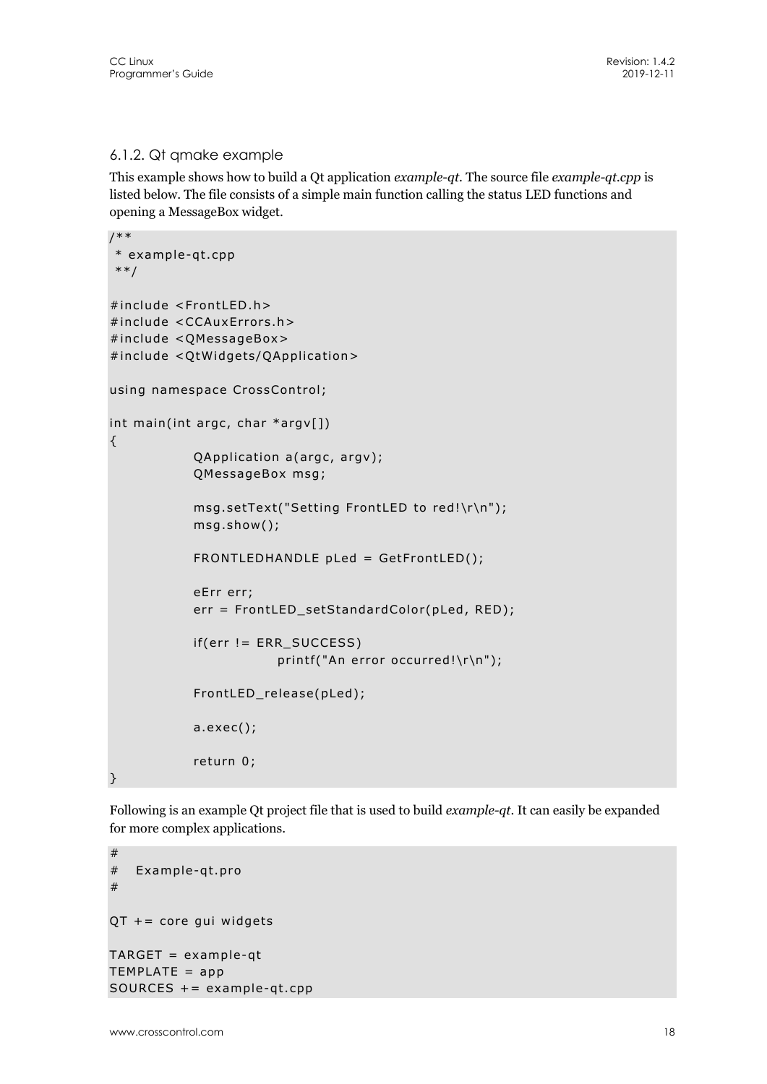#### 6.1.2. Qt qmake example

This example shows how to build a Qt application *example-qt*. The source file *example-qt.cpp* is listed below. The file consists of a simple main function calling the status LED functions and opening a MessageBox widget.

```
/** 
 * example-qt.cpp 
 **/ 
#include <FrontLED.h> 
#include <CCAuxErrors.h> 
#include <QMessageBox> 
#include <QtWidgets/QApplication> 
using namespace CrossControl; 
int main(int argc, char *argv[]) 
{ 
             QApplication a(argc, argv); 
             QMessageBox msg; 
             msg.setText("Setting FrontLED to red!\r\n"); 
             msg.show(); 
             FRONTLEDHANDLE pLed = GetFrontLED(); 
             eErr err; 
             err = FrontLED_setStandardColor(pLed, RED); 
            if(err != ERR_SUCCESS)
                        printf("An error occurred!\r\n");
             FrontLED_release(pLed); 
             a.exec(); 
            return 0;
}
```
Following is an example Qt project file that is used to build *example-qt*. It can easily be expanded for more complex applications.

```
# 
# Example-qt.pro 
# 
QT + = core gui widgets
TARGET = example-qt 
TEMPLATE = appSOURCES += example-qt.cpp
```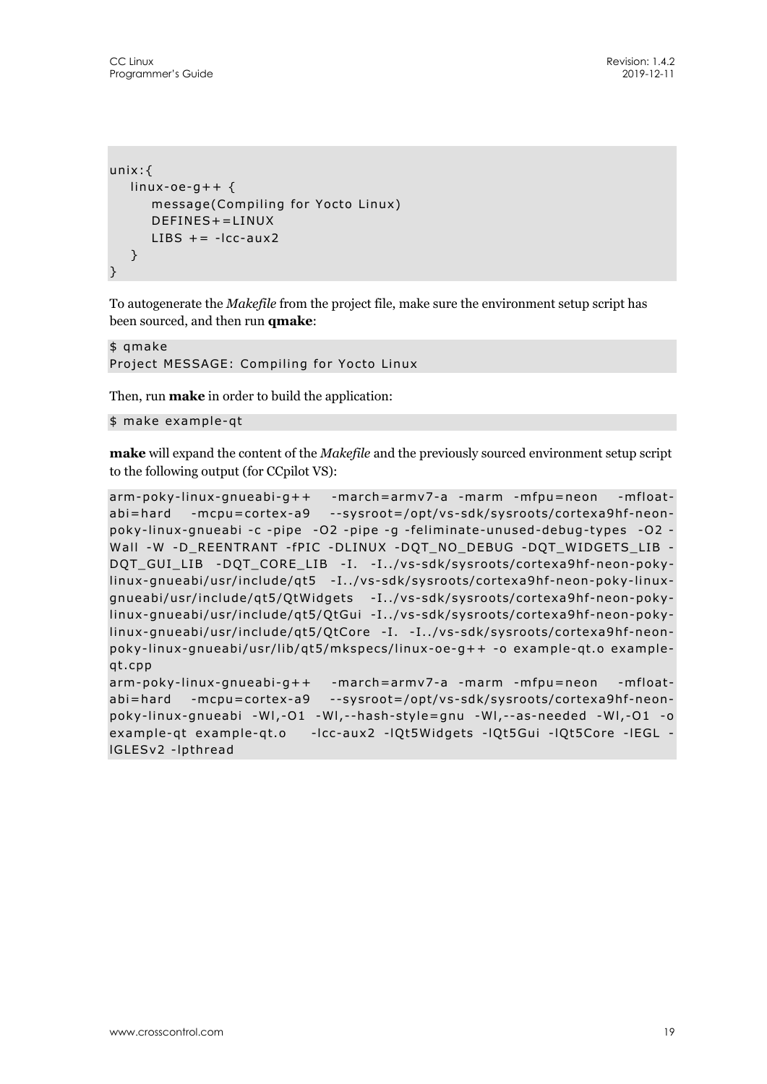```
unix:{ 
   linux-oe-q++ {
       message(Compiling for Yocto Linux) 
      DFFINFS += I INUXLIBS += -lcc - aux2 } 
}
```
To autogenerate the *Makefile* from the project file, make sure the environment setup script has been sourced, and then run **qmake**:

```
$ qmake 
Project MESSAGE: Compiling for Yocto Linux
```
Then, run **make** in order to build the application:

```
$ make example-qt
```
**make** will expand the content of the *Makefile* and the previously sourced environment setup script to the following output (for CCpilot VS):

```
arm-poky-linux-gnueabi-g++ -march=armv7-a -marm -mfpu=neon -mfloat-
abi=hard -mcpu=cortex-a9 --sysroot=/opt/vs-sdk/sysroots/cortexa9hf-neon-
poky-linux-gnueabi -c -pipe -O2 -pipe -g -feliminate-unused-debug-types -O2 -
Wall -W -D_REENTRANT -fPIC -DLINUX -DQT_NO_DEBUG -DQT_WIDGETS_LIB -
DQT_GUI_LIB -DQT_CORE_LIB -I. -I../vs-sdk/sysroots/cortexa9hf-neon-poky-
linux-gnueabi/usr/include/qt5 -I../vs-sdk/sysroots/cortexa9hf-neon-poky-linux-
gnueabi/usr/include/qt5/QtWidgets -I../vs-sdk/sysroots/cortexa9hf-neon-poky-
linux-gnueabi/usr/include/qt5/QtGui -I../vs-sdk/sysroots/cortexa9hf-neon-poky-
linux-gnueabi/usr/include/qt5/QtCore -I. -I../vs-sdk/sysroots/cortexa9hf-neon-
poky-linux-gnueabi/usr/lib/qt5/mkspecs/linux-oe-g++ -o example-qt.o example-
qt.cpp 
arm-poky-linux-gnueabi-g++ -march=armv7-a -marm -mfpu=neon -mfloat-
abi=hard -mcpu=cortex-a9 --sysroot=/opt/vs-sdk/sysroots/cortexa9hf-neon-
poky-linux-gnueabi -Wl,-O1 -Wl,--hash-style=gnu -Wl,--as-needed -Wl,-O1 -o 
example-qt example-qt.o -lcc-aux2 -lQt5Widgets -lQt5Gui -lQt5Core -lEGL -
lGLESv2 -lpthread
```